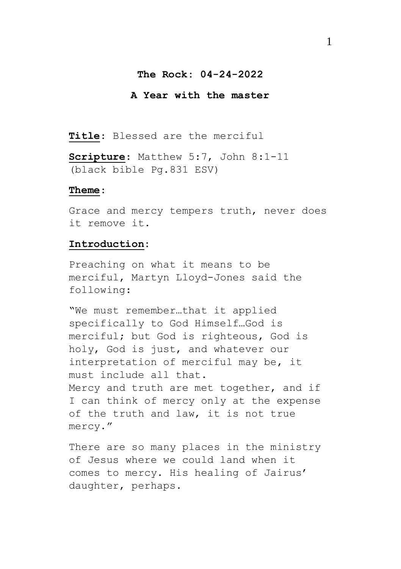### **The Rock: 04-24-2022**

## **A Year with the master**

**Title**: Blessed are the merciful

**Scripture**: Matthew 5:7, John 8:1-11 (black bible Pg.831 ESV)

#### **Theme**:

Grace and mercy tempers truth, never does it remove it.

#### **Introduction:**

Preaching on what it means to be merciful, Martyn Lloyd-Jones said the following:

"We must remember…that it applied specifically to God Himself…God is merciful; but God is righteous, God is holy, God is just, and whatever our interpretation of merciful may be, it must include all that. Mercy and truth are met together, and if I can think of mercy only at the expense of the truth and law, it is not true mercy."

There are so many places in the ministry of Jesus where we could land when it comes to mercy. His healing of Jairus' daughter, perhaps.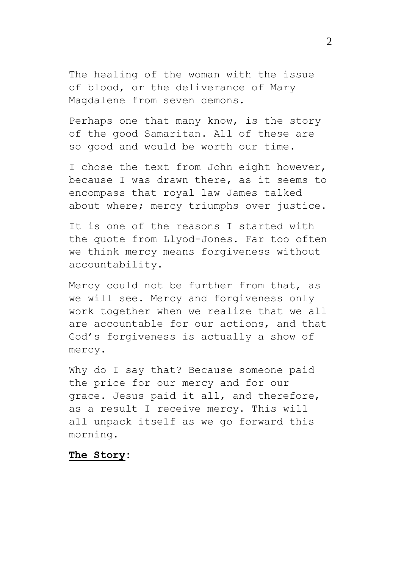The healing of the woman with the issue of blood, or the deliverance of Mary Magdalene from seven demons.

Perhaps one that many know, is the story of the good Samaritan. All of these are so good and would be worth our time.

I chose the text from John eight however, because I was drawn there, as it seems to encompass that royal law James talked about where; mercy triumphs over justice.

It is one of the reasons I started with the quote from Llyod-Jones. Far too often we think mercy means forgiveness without accountability.

Mercy could not be further from that, as we will see. Mercy and forgiveness only work together when we realize that we all are accountable for our actions, and that God's forgiveness is actually a show of mercy.

Why do I say that? Because someone paid the price for our mercy and for our grace. Jesus paid it all, and therefore, as a result I receive mercy. This will all unpack itself as we go forward this morning.

# **The Story:**

 $\mathfrak{D}$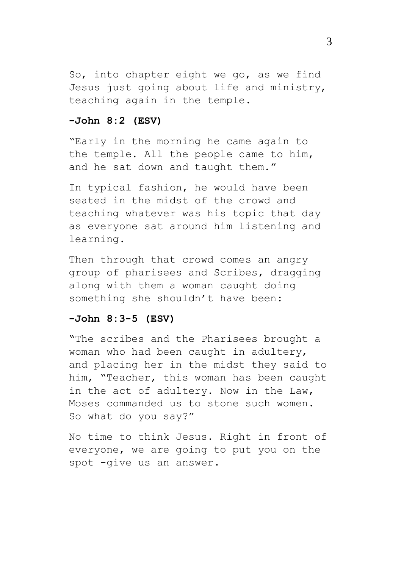So, into chapter eight we go, as we find Jesus just going about life and ministry, teaching again in the temple.

## **-John 8:2 (ESV)**

"Early in the morning he came again to the temple. All the people came to him, and he sat down and taught them."

In typical fashion, he would have been seated in the midst of the crowd and teaching whatever was his topic that day as everyone sat around him listening and learning.

Then through that crowd comes an angry group of pharisees and Scribes, dragging along with them a woman caught doing something she shouldn't have been:

# **-John 8:3-5 (ESV)**

"The scribes and the Pharisees brought a woman who had been caught in adultery, and placing her in the midst they said to him, "Teacher, this woman has been caught in the act of adultery. Now in the Law, Moses commanded us to stone such women. So what do you say?"

No time to think Jesus. Right in front of everyone, we are going to put you on the spot -give us an answer.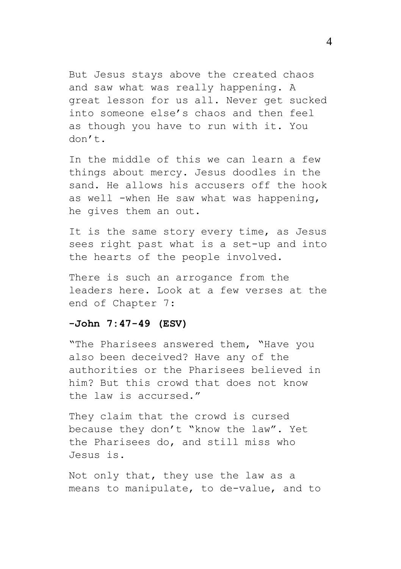But Jesus stays above the created chaos and saw what was really happening. A great lesson for us all. Never get sucked into someone else's chaos and then feel as though you have to run with it. You don't.

In the middle of this we can learn a few things about mercy. Jesus doodles in the sand. He allows his accusers off the hook as well -when He saw what was happening, he gives them an out.

It is the same story every time, as Jesus sees right past what is a set-up and into the hearts of the people involved.

There is such an arrogance from the leaders here. Look at a few verses at the end of Chapter 7:

## **-John 7:47-49 (ESV)**

"The Pharisees answered them, "Have you also been deceived? Have any of the authorities or the Pharisees believed in him? But this crowd that does not know the law is accursed."

They claim that the crowd is cursed because they don't "know the law". Yet the Pharisees do, and still miss who Jesus is.

Not only that, they use the law as a means to manipulate, to de-value, and to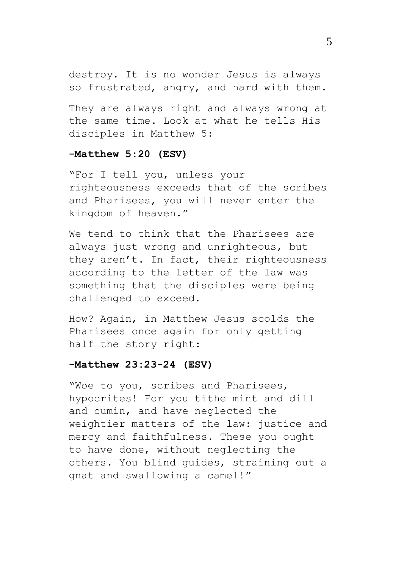destroy. It is no wonder Jesus is always so frustrated, angry, and hard with them.

They are always right and always wrong at the same time. Look at what he tells His disciples in Matthew 5:

### **-Matthew 5:20 (ESV)**

"For I tell you, unless your righteousness exceeds that of the scribes and Pharisees, you will never enter the kingdom of heaven."

We tend to think that the Pharisees are always just wrong and unrighteous, but they aren't. In fact, their righteousness according to the letter of the law was something that the disciples were being challenged to exceed.

How? Again, in Matthew Jesus scolds the Pharisees once again for only getting half the story right:

## **-Matthew 23:23-24 (ESV)**

"Woe to you, scribes and Pharisees, hypocrites! For you tithe mint and dill and cumin, and have neglected the weightier matters of the law: justice and mercy and faithfulness. These you ought to have done, without neglecting the others. You blind guides, straining out a gnat and swallowing a camel!"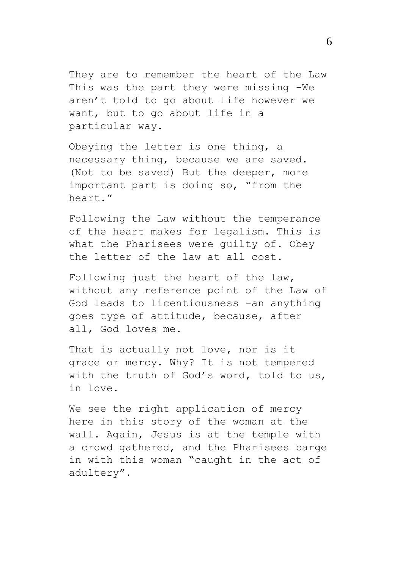They are to remember the heart of the Law This was the part they were missing -We aren't told to go about life however we want, but to go about life in a particular way.

Obeying the letter is one thing, a necessary thing, because we are saved. (Not to be saved) But the deeper, more important part is doing so, "from the heart."

Following the Law without the temperance of the heart makes for legalism. This is what the Pharisees were guilty of. Obey the letter of the law at all cost.

Following just the heart of the law, without any reference point of the Law of God leads to licentiousness -an anything goes type of attitude, because, after all, God loves me.

That is actually not love, nor is it grace or mercy. Why? It is not tempered with the truth of God's word, told to us, in love.

We see the right application of mercy here in this story of the woman at the wall. Again, Jesus is at the temple with a crowd gathered, and the Pharisees barge in with this woman "caught in the act of adultery".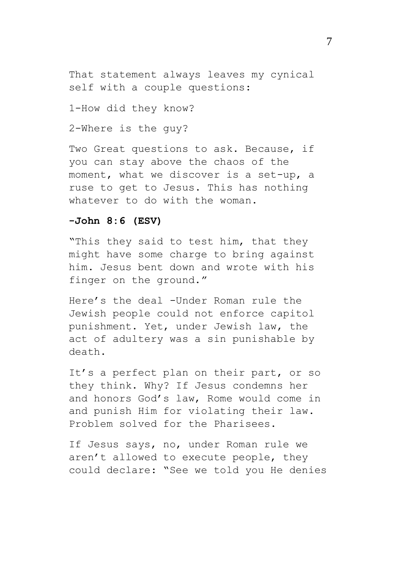That statement always leaves my cynical self with a couple questions:

1-How did they know?

2-Where is the guy?

Two Great questions to ask. Because, if you can stay above the chaos of the moment, what we discover is a set-up, a ruse to get to Jesus. This has nothing whatever to do with the woman.

### **-John 8:6 (ESV)**

"This they said to test him, that they might have some charge to bring against him. Jesus bent down and wrote with his finger on the ground."

Here's the deal -Under Roman rule the Jewish people could not enforce capitol punishment. Yet, under Jewish law, the act of adultery was a sin punishable by death.

It's a perfect plan on their part, or so they think. Why? If Jesus condemns her and honors God's law, Rome would come in and punish Him for violating their law. Problem solved for the Pharisees.

If Jesus says, no, under Roman rule we aren't allowed to execute people, they could declare: "See we told you He denies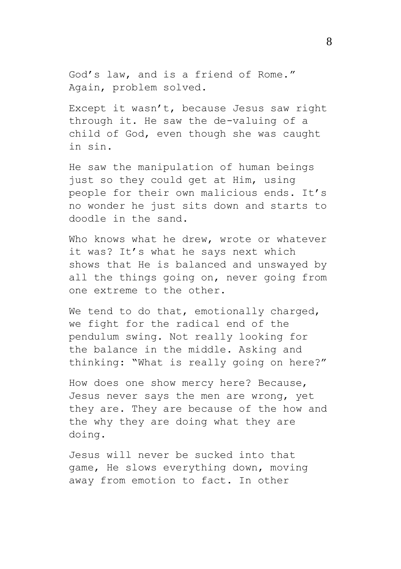God's law, and is a friend of Rome." Again, problem solved.

Except it wasn't, because Jesus saw right through it. He saw the de-valuing of a child of God, even though she was caught in sin.

He saw the manipulation of human beings just so they could get at Him, using people for their own malicious ends. It's no wonder he just sits down and starts to doodle in the sand.

Who knows what he drew, wrote or whatever it was? It's what he says next which shows that He is balanced and unswayed by all the things going on, never going from one extreme to the other.

We tend to do that, emotionally charged, we fight for the radical end of the pendulum swing. Not really looking for the balance in the middle. Asking and thinking: "What is really going on here?"

How does one show mercy here? Because, Jesus never says the men are wrong, yet they are. They are because of the how and the why they are doing what they are doing.

Jesus will never be sucked into that game, He slows everything down, moving away from emotion to fact. In other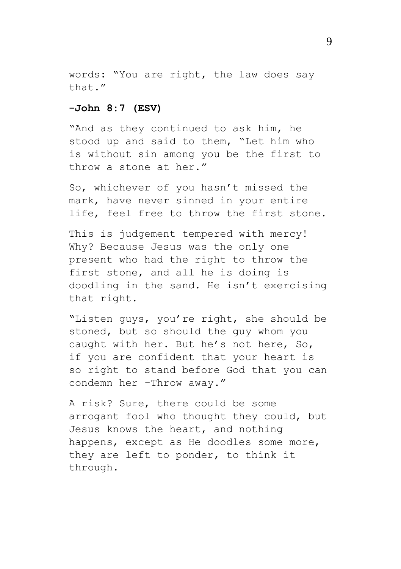words: "You are right, the law does say  $that$   $''$ 

#### **-John 8:7 (ESV)**

"And as they continued to ask him, he stood up and said to them, "Let him who is without sin among you be the first to throw a stone at her."

So, whichever of you hasn't missed the mark, have never sinned in your entire life, feel free to throw the first stone.

This is judgement tempered with mercy! Why? Because Jesus was the only one present who had the right to throw the first stone, and all he is doing is doodling in the sand. He isn't exercising that right.

"Listen guys, you're right, she should be stoned, but so should the guy whom you caught with her. But he's not here, So, if you are confident that your heart is so right to stand before God that you can condemn her -Throw away."

A risk? Sure, there could be some arrogant fool who thought they could, but Jesus knows the heart, and nothing happens, except as He doodles some more, they are left to ponder, to think it through.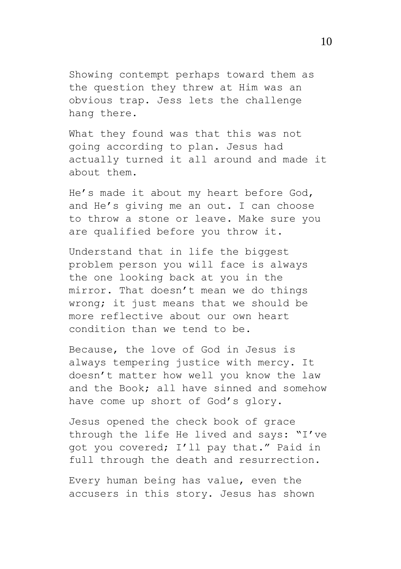Showing contempt perhaps toward them as the question they threw at Him was an obvious trap. Jess lets the challenge hang there.

What they found was that this was not going according to plan. Jesus had actually turned it all around and made it about them.

He's made it about my heart before God, and He's giving me an out. I can choose to throw a stone or leave. Make sure you are qualified before you throw it.

Understand that in life the biggest problem person you will face is always the one looking back at you in the mirror. That doesn't mean we do things wrong; it just means that we should be more reflective about our own heart condition than we tend to be.

Because, the love of God in Jesus is always tempering justice with mercy. It doesn't matter how well you know the law and the Book; all have sinned and somehow have come up short of God's glory.

Jesus opened the check book of grace through the life He lived and says: "I've got you covered; I'll pay that." Paid in full through the death and resurrection.

Every human being has value, even the accusers in this story. Jesus has shown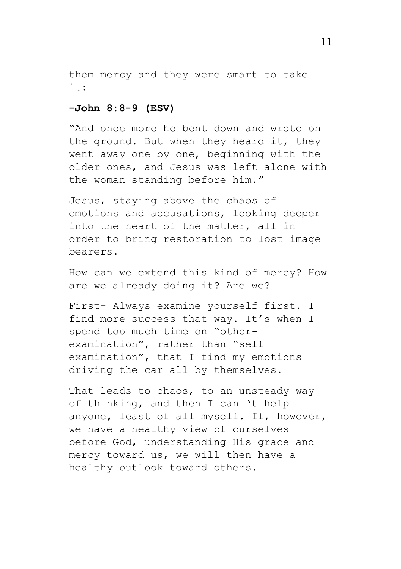them mercy and they were smart to take  $i +$ .

### **-John 8:8-9 (ESV)**

"And once more he bent down and wrote on the ground. But when they heard it, they went away one by one, beginning with the older ones, and Jesus was left alone with the woman standing before him."

Jesus, staying above the chaos of emotions and accusations, looking deeper into the heart of the matter, all in order to bring restoration to lost imagebearers.

How can we extend this kind of mercy? How are we already doing it? Are we?

First- Always examine yourself first. I find more success that way. It's when I spend too much time on "otherexamination", rather than "selfexamination", that I find my emotions driving the car all by themselves.

That leads to chaos, to an unsteady way of thinking, and then I can 't help anyone, least of all myself. If, however, we have a healthy view of ourselves before God, understanding His grace and mercy toward us, we will then have a healthy outlook toward others.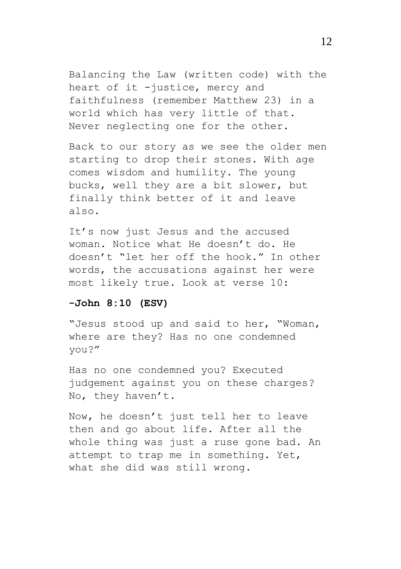Balancing the Law (written code) with the heart of it -justice, mercy and faithfulness (remember Matthew 23) in a world which has very little of that. Never neglecting one for the other.

Back to our story as we see the older men starting to drop their stones. With age comes wisdom and humility. The young bucks, well they are a bit slower, but finally think better of it and leave also.

It's now just Jesus and the accused woman. Notice what He doesn't do. He doesn't "let her off the hook." In other words, the accusations against her were most likely true. Look at verse 10:

## **-John 8:10 (ESV)**

"Jesus stood up and said to her, "Woman, where are they? Has no one condemned you?"

Has no one condemned you? Executed judgement against you on these charges? No, they haven't.

Now, he doesn't just tell her to leave then and go about life. After all the whole thing was just a ruse gone bad. An attempt to trap me in something. Yet, what she did was still wrong.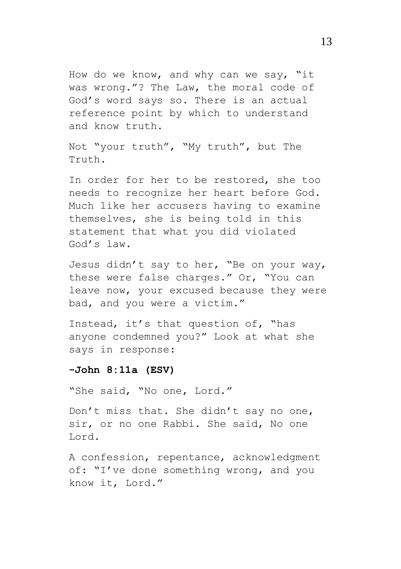How do we know, and why can we say, "it was wrong."? The Law, the moral code of God's word says so. There is an actual reference point by which to understand and know truth.

Not "your truth", "My truth", but The Truth.

In order for her to be restored, she too needs to recognize her heart before God. Much like her accusers having to examine themselves, she is being told in this statement that what you did violated God's law.

Jesus didn't say to her, "Be on your way, these were false charges." Or, "You can leave now, your excused because they were bad, and you were a victim."

Instead, it's that question of, "has anyone condemned you?" Look at what she says in response:

#### **-John 8:11a (ESV)**

"She said, "No one, Lord."

Don't miss that. She didn't say no one, sir, or no one Rabbi. She said, No one Lord.

A confession, repentance, acknowledgment of: "I've done something wrong, and you know it, Lord."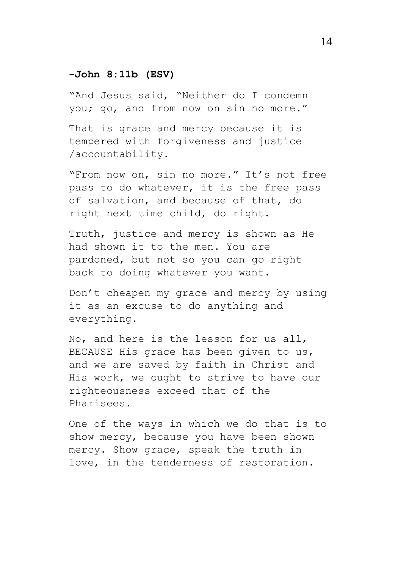# **-John 8:11b (ESV)**

"And Jesus said, "Neither do I condemn you; go, and from now on sin no more."

That is grace and mercy because it is tempered with forgiveness and justice /accountability.

"From now on, sin no more." It's not free pass to do whatever, it is the free pass of salvation, and because of that, do right next time child, do right.

Truth, justice and mercy is shown as He had shown it to the men. You are pardoned, but not so you can go right back to doing whatever you want.

Don't cheapen my grace and mercy by using it as an excuse to do anything and everything.

No, and here is the lesson for us all, BECAUSE His grace has been given to us, and we are saved by faith in Christ and His work, we ought to strive to have our righteousness exceed that of the Pharisees.

One of the ways in which we do that is to show mercy, because you have been shown mercy. Show grace, speak the truth in love, in the tenderness of restoration.